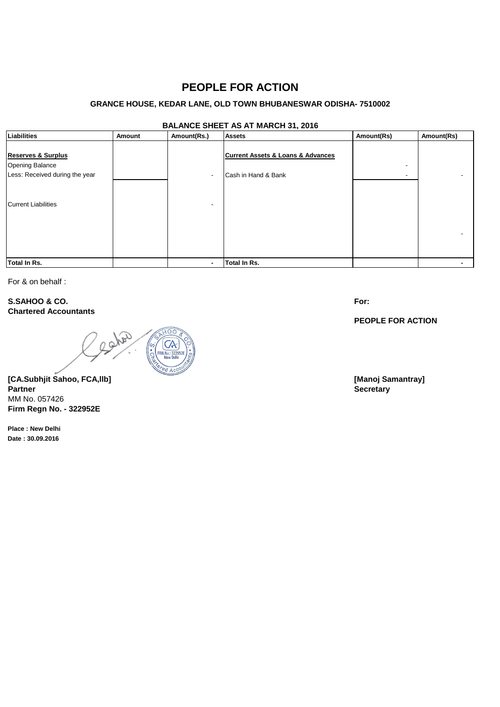# **PEOPLE FOR ACTION**

### **GRANCE HOUSE, KEDAR LANE, OLD TOWN BHUBANESWAR ODISHA- 7510002**

## **BALANCE SHEET AS AT MARCH 31, 2016**

| Liabilities                                                                               | Amount | Amount(Rs.)              | $ \sqrt{ }$<br><b>Assets</b>                                            | Amount(Rs) | Amount(Rs) |
|-------------------------------------------------------------------------------------------|--------|--------------------------|-------------------------------------------------------------------------|------------|------------|
| <b>Reserves &amp; Surplus</b><br><b>Opening Balance</b><br>Less: Received during the year |        | $\overline{\phantom{a}}$ | <b>Current Assets &amp; Loans &amp; Advances</b><br>Cash in Hand & Bank | -          |            |
| <b>Current Liabilities</b>                                                                |        |                          |                                                                         |            |            |
| <b>Total In Rs.</b>                                                                       |        |                          | Total In Rs.                                                            |            |            |

For & on behalf :

**S.SAHOO & CO. Chartered Accountants**

and

**[CA.Subhjit Sahoo, FCA,llb] [Manoj Samantray] Partner Secretary** MM No. 057426 **Firm Regn No. - 322952E**

**Place : New Delhi Date : 30.09.2016**

**For:**

**PEOPLE FOR ACTION**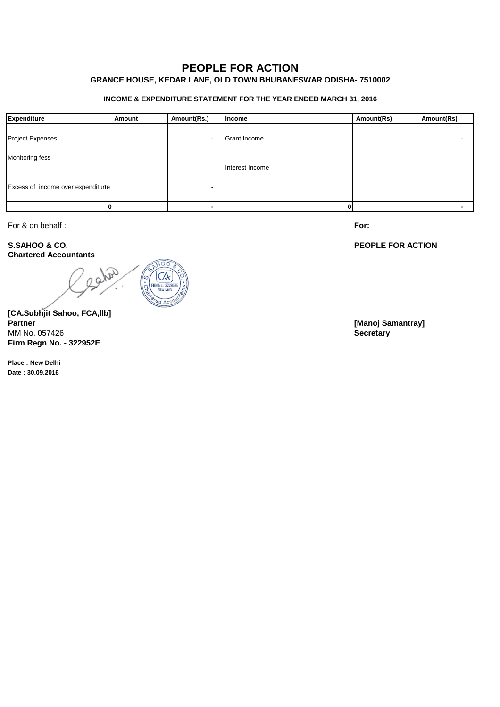# **PEOPLE FOR ACTION**

## **GRANCE HOUSE, KEDAR LANE, OLD TOWN BHUBANESWAR ODISHA- 7510002**

### **INCOME & EXPENDITURE STATEMENT FOR THE YEAR ENDED MARCH 31, 2016**

| Expenditure                        | <b>Amount</b> | Amount(Rs.)              | Income          | Amount(Rs) | Amount(Rs) |
|------------------------------------|---------------|--------------------------|-----------------|------------|------------|
| <b>Project Expenses</b>            |               | $\overline{\phantom{a}}$ | Grant Income    |            |            |
| Monitoring fess                    |               |                          | Interest Income |            |            |
| Excess of income over expenditurte |               |                          |                 |            |            |
|                                    |               |                          |                 |            |            |

For & on behalf :

**S.SAHOO & CO. Chartered Accountants**

B n Q

**[CA.Subhjit Sahoo, FCA,llb]** MM No. 057426 **Secretary Firm Regn No. - 322952E**

**Place : New Delhi Date : 30.09.2016**

**For:**

### **PEOPLE FOR ACTION**

**[Manoj Samantray]**